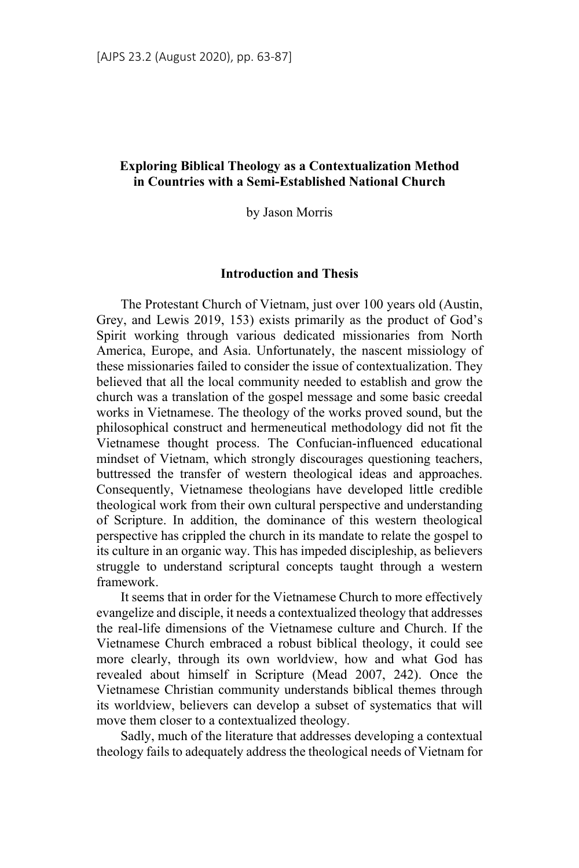# **Exploring Biblical Theology as a Contextualization Method in Countries with a Semi-Established National Church**

by Jason Morris

## **Introduction and Thesis**

The Protestant Church of Vietnam, just over 100 years old (Austin, Grey, and Lewis 2019, 153) exists primarily as the product of God's Spirit working through various dedicated missionaries from North America, Europe, and Asia. Unfortunately, the nascent missiology of these missionaries failed to consider the issue of contextualization. They believed that all the local community needed to establish and grow the church was a translation of the gospel message and some basic creedal works in Vietnamese. The theology of the works proved sound, but the philosophical construct and hermeneutical methodology did not fit the Vietnamese thought process. The Confucian-influenced educational mindset of Vietnam, which strongly discourages questioning teachers, buttressed the transfer of western theological ideas and approaches. Consequently, Vietnamese theologians have developed little credible theological work from their own cultural perspective and understanding of Scripture. In addition, the dominance of this western theological perspective has crippled the church in its mandate to relate the gospel to its culture in an organic way. This has impeded discipleship, as believers struggle to understand scriptural concepts taught through a western framework.

It seems that in order for the Vietnamese Church to more effectively evangelize and disciple, it needs a contextualized theology that addresses the real-life dimensions of the Vietnamese culture and Church. If the Vietnamese Church embraced a robust biblical theology, it could see more clearly, through its own worldview, how and what God has revealed about himself in Scripture (Mead 2007, 242). Once the Vietnamese Christian community understands biblical themes through its worldview, believers can develop a subset of systematics that will move them closer to a contextualized theology.

Sadly, much of the literature that addresses developing a contextual theology fails to adequately address the theological needs of Vietnam for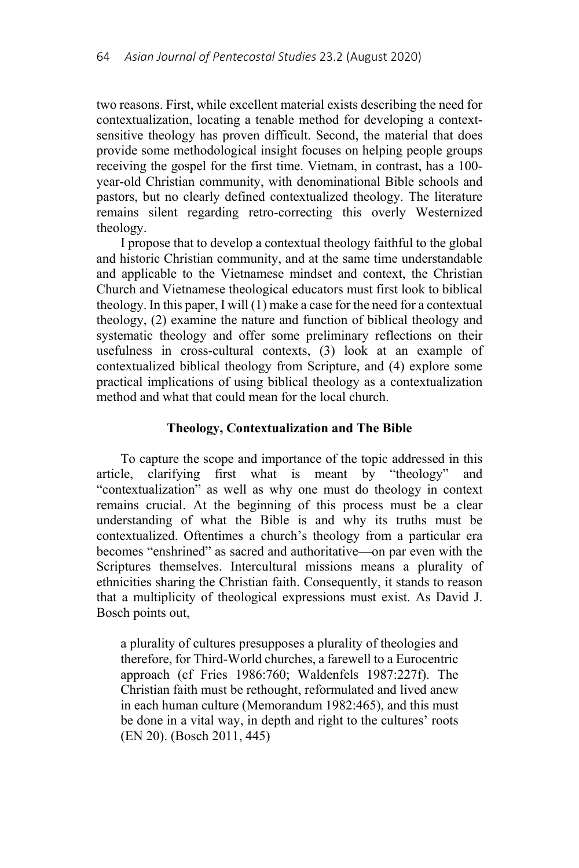two reasons. First, while excellent material exists describing the need for contextualization, locating a tenable method for developing a contextsensitive theology has proven difficult. Second, the material that does provide some methodological insight focuses on helping people groups receiving the gospel for the first time. Vietnam, in contrast, has a 100 year-old Christian community, with denominational Bible schools and pastors, but no clearly defined contextualized theology. The literature remains silent regarding retro-correcting this overly Westernized theology.

I propose that to develop a contextual theology faithful to the global and historic Christian community, and at the same time understandable and applicable to the Vietnamese mindset and context, the Christian Church and Vietnamese theological educators must first look to biblical theology. In this paper, I will (1) make a case for the need for a contextual theology, (2) examine the nature and function of biblical theology and systematic theology and offer some preliminary reflections on their usefulness in cross-cultural contexts, (3) look at an example of contextualized biblical theology from Scripture, and (4) explore some practical implications of using biblical theology as a contextualization method and what that could mean for the local church.

#### **Theology, Contextualization and The Bible**

To capture the scope and importance of the topic addressed in this article, clarifying first what is meant by "theology" and "contextualization" as well as why one must do theology in context remains crucial. At the beginning of this process must be a clear understanding of what the Bible is and why its truths must be contextualized. Oftentimes a church's theology from a particular era becomes "enshrined" as sacred and authoritative—on par even with the Scriptures themselves. Intercultural missions means a plurality of ethnicities sharing the Christian faith. Consequently, it stands to reason that a multiplicity of theological expressions must exist. As David J. Bosch points out,

a plurality of cultures presupposes a plurality of theologies and therefore, for Third-World churches, a farewell to a Eurocentric approach (cf Fries 1986:760; Waldenfels 1987:227f). The Christian faith must be rethought, reformulated and lived anew in each human culture (Memorandum 1982:465), and this must be done in a vital way, in depth and right to the cultures' roots (EN 20). (Bosch 2011, 445)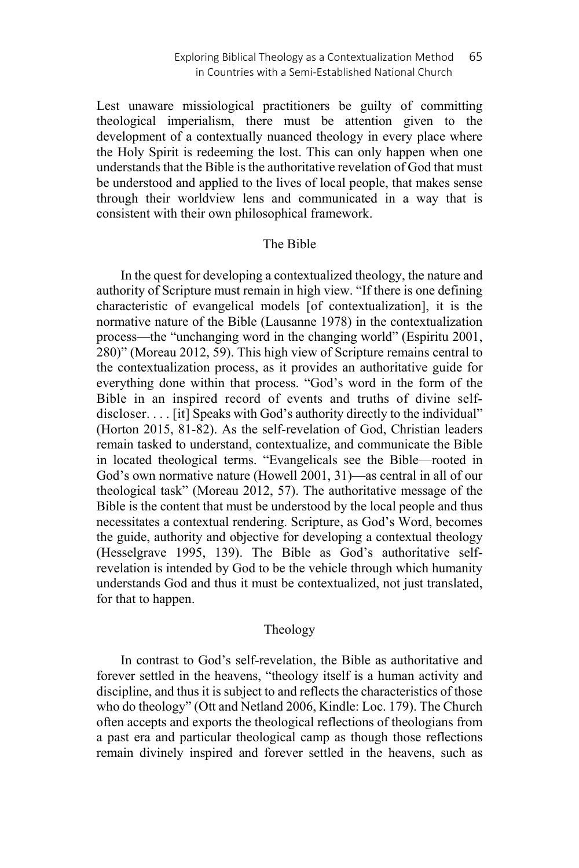Lest unaware missiological practitioners be guilty of committing theological imperialism, there must be attention given to the development of a contextually nuanced theology in every place where the Holy Spirit is redeeming the lost. This can only happen when one understands that the Bible is the authoritative revelation of God that must be understood and applied to the lives of local people, that makes sense through their worldview lens and communicated in a way that is consistent with their own philosophical framework.

## The Bible

In the quest for developing a contextualized theology, the nature and authority of Scripture must remain in high view. "If there is one defining characteristic of evangelical models [of contextualization], it is the normative nature of the Bible (Lausanne 1978) in the contextualization process—the "unchanging word in the changing world" (Espiritu 2001, 280)" (Moreau 2012, 59). This high view of Scripture remains central to the contextualization process, as it provides an authoritative guide for everything done within that process. "God's word in the form of the Bible in an inspired record of events and truths of divine selfdiscloser. . . . [it] Speaks with God's authority directly to the individual" (Horton 2015, 81-82). As the self-revelation of God, Christian leaders remain tasked to understand, contextualize, and communicate the Bible in located theological terms. "Evangelicals see the Bible—rooted in God's own normative nature (Howell 2001, 31)—as central in all of our theological task" (Moreau 2012, 57). The authoritative message of the Bible is the content that must be understood by the local people and thus necessitates a contextual rendering. Scripture, as God's Word, becomes the guide, authority and objective for developing a contextual theology (Hesselgrave 1995, 139). The Bible as God's authoritative selfrevelation is intended by God to be the vehicle through which humanity understands God and thus it must be contextualized, not just translated, for that to happen.

### Theology

In contrast to God's self-revelation, the Bible as authoritative and forever settled in the heavens, "theology itself is a human activity and discipline, and thus it is subject to and reflects the characteristics of those who do theology" (Ott and Netland 2006, Kindle: Loc. 179). The Church often accepts and exports the theological reflections of theologians from a past era and particular theological camp as though those reflections remain divinely inspired and forever settled in the heavens, such as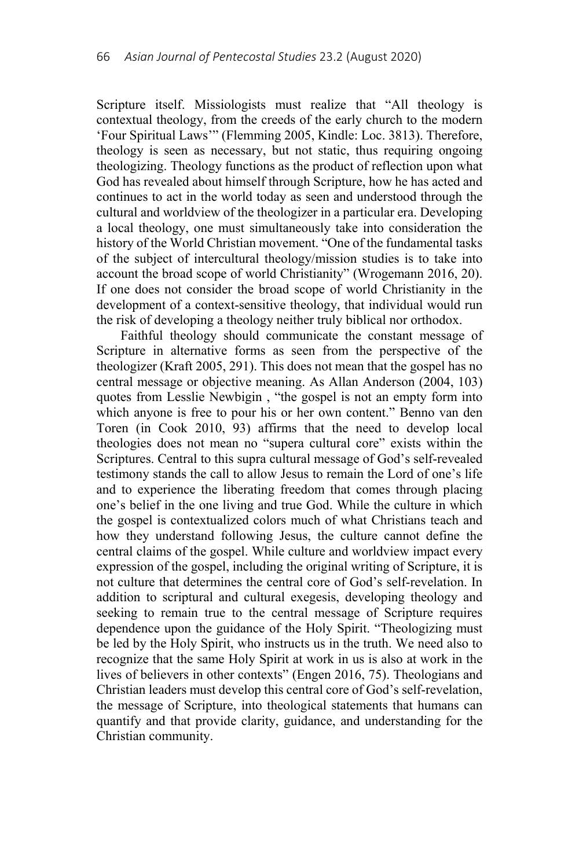Scripture itself. Missiologists must realize that "All theology is contextual theology, from the creeds of the early church to the modern 'Four Spiritual Laws'" (Flemming 2005, Kindle: Loc. 3813). Therefore, theology is seen as necessary, but not static, thus requiring ongoing theologizing. Theology functions as the product of reflection upon what God has revealed about himself through Scripture, how he has acted and continues to act in the world today as seen and understood through the cultural and worldview of the theologizer in a particular era. Developing a local theology, one must simultaneously take into consideration the history of the World Christian movement. "One of the fundamental tasks of the subject of intercultural theology/mission studies is to take into account the broad scope of world Christianity" (Wrogemann 2016, 20). If one does not consider the broad scope of world Christianity in the development of a context-sensitive theology, that individual would run the risk of developing a theology neither truly biblical nor orthodox.

Faithful theology should communicate the constant message of Scripture in alternative forms as seen from the perspective of the theologizer (Kraft 2005, 291). This does not mean that the gospel has no central message or objective meaning. As Allan Anderson (2004, 103) quotes from Lesslie Newbigin , "the gospel is not an empty form into which anyone is free to pour his or her own content." Benno van den Toren (in Cook 2010, 93) affirms that the need to develop local theologies does not mean no "supera cultural core" exists within the Scriptures. Central to this supra cultural message of God's self-revealed testimony stands the call to allow Jesus to remain the Lord of one's life and to experience the liberating freedom that comes through placing one's belief in the one living and true God. While the culture in which the gospel is contextualized colors much of what Christians teach and how they understand following Jesus, the culture cannot define the central claims of the gospel. While culture and worldview impact every expression of the gospel, including the original writing of Scripture, it is not culture that determines the central core of God's self-revelation. In addition to scriptural and cultural exegesis, developing theology and seeking to remain true to the central message of Scripture requires dependence upon the guidance of the Holy Spirit. "Theologizing must be led by the Holy Spirit, who instructs us in the truth. We need also to recognize that the same Holy Spirit at work in us is also at work in the lives of believers in other contexts" (Engen 2016, 75). Theologians and Christian leaders must develop this central core of God's self-revelation, the message of Scripture, into theological statements that humans can quantify and that provide clarity, guidance, and understanding for the Christian community.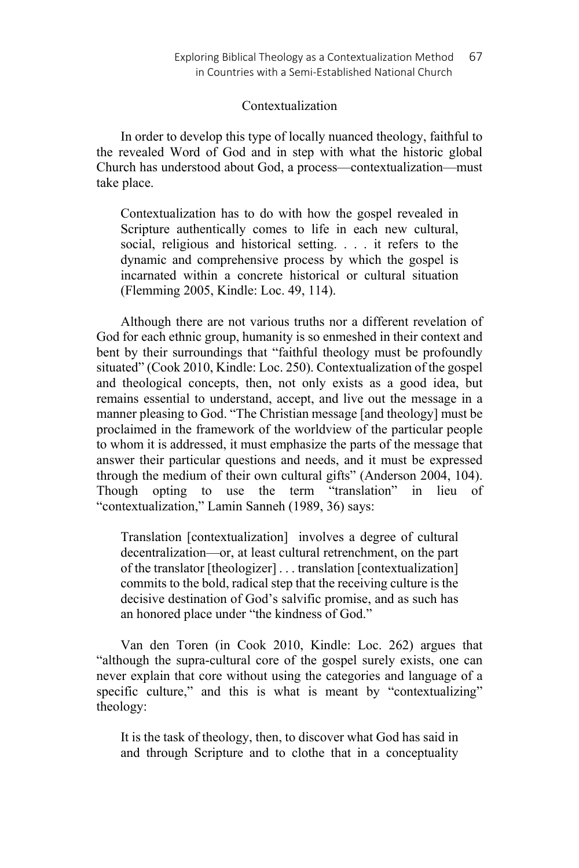## Contextualization

In order to develop this type of locally nuanced theology, faithful to the revealed Word of God and in step with what the historic global Church has understood about God, a process—contextualization—must take place.

Contextualization has to do with how the gospel revealed in Scripture authentically comes to life in each new cultural, social, religious and historical setting. . . . it refers to the dynamic and comprehensive process by which the gospel is incarnated within a concrete historical or cultural situation (Flemming 2005, Kindle: Loc. 49, 114).

Although there are not various truths nor a different revelation of God for each ethnic group, humanity is so enmeshed in their context and bent by their surroundings that "faithful theology must be profoundly situated" (Cook 2010, Kindle: Loc. 250). Contextualization of the gospel and theological concepts, then, not only exists as a good idea, but remains essential to understand, accept, and live out the message in a manner pleasing to God. "The Christian message [and theology] must be proclaimed in the framework of the worldview of the particular people to whom it is addressed, it must emphasize the parts of the message that answer their particular questions and needs, and it must be expressed through the medium of their own cultural gifts" (Anderson 2004, 104). Though opting to use the term "translation" in lieu of "contextualization," Lamin Sanneh (1989, 36) says:

Translation [contextualization] involves a degree of cultural decentralization—or, at least cultural retrenchment, on the part of the translator [theologizer] . . . translation [contextualization] commits to the bold, radical step that the receiving culture is the decisive destination of God's salvific promise, and as such has an honored place under "the kindness of God."

Van den Toren (in Cook 2010, Kindle: Loc. 262) argues that "although the supra-cultural core of the gospel surely exists, one can never explain that core without using the categories and language of a specific culture," and this is what is meant by "contextualizing" theology:

It is the task of theology, then, to discover what God has said in and through Scripture and to clothe that in a conceptuality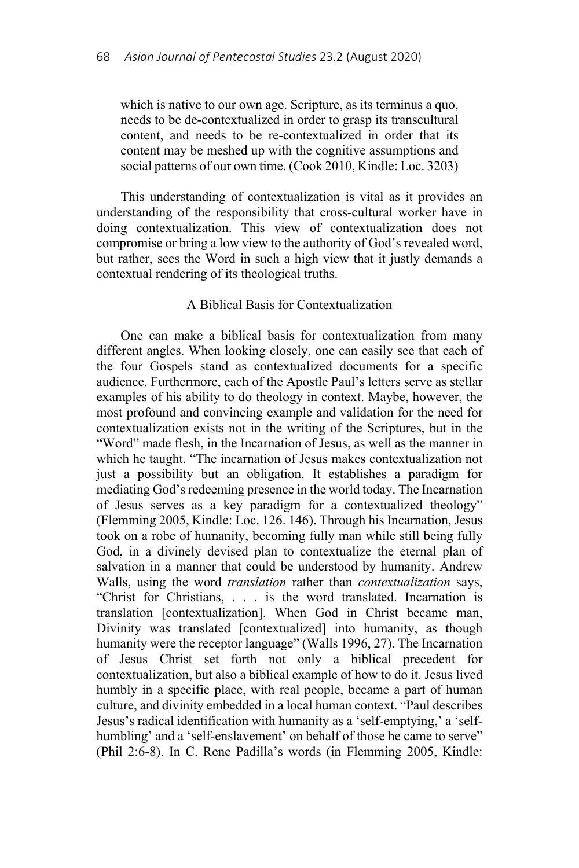which is native to our own age. Scripture, as its terminus a quo, needs to be de-contextualized in order to grasp its transcultural content, and needs to be re-contextualized in order that its content may be meshed up with the cognitive assumptions and social patterns of our own time. (Cook 2010, Kindle: Loc. 3203)

This understanding of contextualization is vital as it provides an understanding of the responsibility that cross-cultural worker have in doing contextualization. This view of contextualization does not compromise or bring a low view to the authority of God's revealed word, but rather, sees the Word in such a high view that it justly demands a contextual rendering of its theological truths.

## A Biblical Basis for Contextualization

One can make a biblical basis for contextualization from many different angles. When looking closely, one can easily see that each of the four Gospels stand as contextualized documents for a specific audience. Furthermore, each of the Apostle Paul's letters serve as stellar examples of his ability to do theology in context. Maybe, however, the most profound and convincing example and validation for the need for contextualization exists not in the writing of the Scriptures, but in the "Word" made flesh, in the Incarnation of Jesus, as well as the manner in which he taught. "The incarnation of Jesus makes contextualization not just a possibility but an obligation. It establishes a paradigm for mediating God's redeeming presence in the world today. The Incarnation of Jesus serves as a key paradigm for a contextualized theology" (Flemming 2005, Kindle: Loc. 126. 146). Through his Incarnation, Jesus took on a robe of humanity, becoming fully man while still being fully God, in a divinely devised plan to contextualize the eternal plan of salvation in a manner that could be understood by humanity. Andrew Walls, using the word *translation* rather than *contextualization* says, "Christ for Christians, . . . is the word translated. Incarnation is translation [contextualization]. When God in Christ became man, Divinity was translated [contextualized] into humanity, as though humanity were the receptor language" (Walls 1996, 27). The Incarnation of Jesus Christ set forth not only a biblical precedent for contextualization, but also a biblical example of how to do it. Jesus lived humbly in a specific place, with real people, became a part of human culture, and divinity embedded in a local human context. "Paul describes Jesus's radical identification with humanity as a 'self-emptying,' a 'selfhumbling' and a 'self-enslavement' on behalf of those he came to serve" (Phil 2:6-8). In C. Rene Padilla's words (in Flemming 2005, Kindle: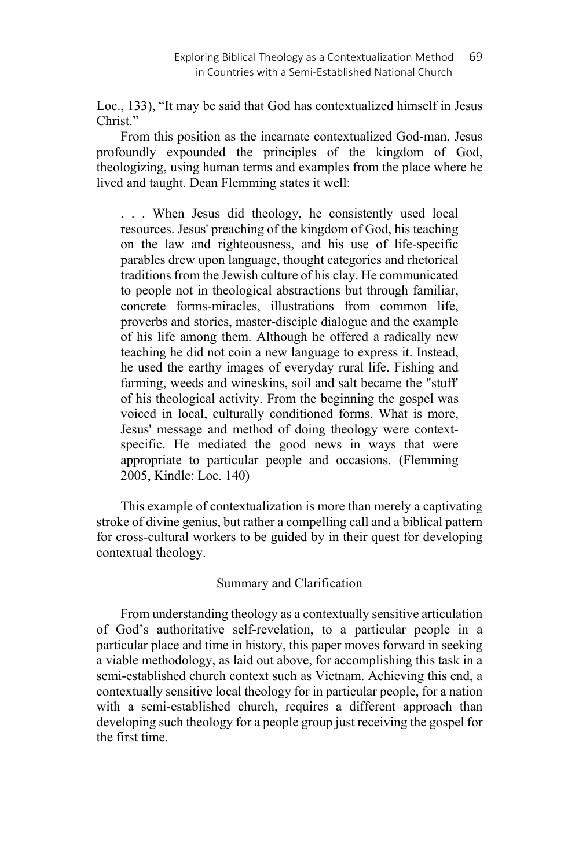Loc., 133), "It may be said that God has contextualized himself in Jesus Christ."

From this position as the incarnate contextualized God-man, Jesus profoundly expounded the principles of the kingdom of God, theologizing, using human terms and examples from the place where he lived and taught. Dean Flemming states it well:

. . . When Jesus did theology, he consistently used local resources. Jesus' preaching of the kingdom of God, his teaching on the law and righteousness, and his use of life-specific parables drew upon language, thought categories and rhetorical traditions from the Jewish culture of his clay. He communicated to people not in theological abstractions but through familiar, concrete forms-miracles, illustrations from common life, proverbs and stories, master-disciple dialogue and the example of his life among them. Although he offered a radically new teaching he did not coin a new language to express it. Instead, he used the earthy images of everyday rural life. Fishing and farming, weeds and wineskins, soil and salt became the "stuff' of his theological activity. From the beginning the gospel was voiced in local, culturally conditioned forms. What is more, Jesus' message and method of doing theology were contextspecific. He mediated the good news in ways that were appropriate to particular people and occasions. (Flemming 2005, Kindle: Loc. 140)

This example of contextualization is more than merely a captivating stroke of divine genius, but rather a compelling call and a biblical pattern for cross-cultural workers to be guided by in their quest for developing contextual theology.

# Summary and Clarification

From understanding theology as a contextually sensitive articulation of God's authoritative self-revelation, to a particular people in a particular place and time in history, this paper moves forward in seeking a viable methodology, as laid out above, for accomplishing this task in a semi-established church context such as Vietnam. Achieving this end, a contextually sensitive local theology for in particular people, for a nation with a semi-established church, requires a different approach than developing such theology for a people group just receiving the gospel for the first time.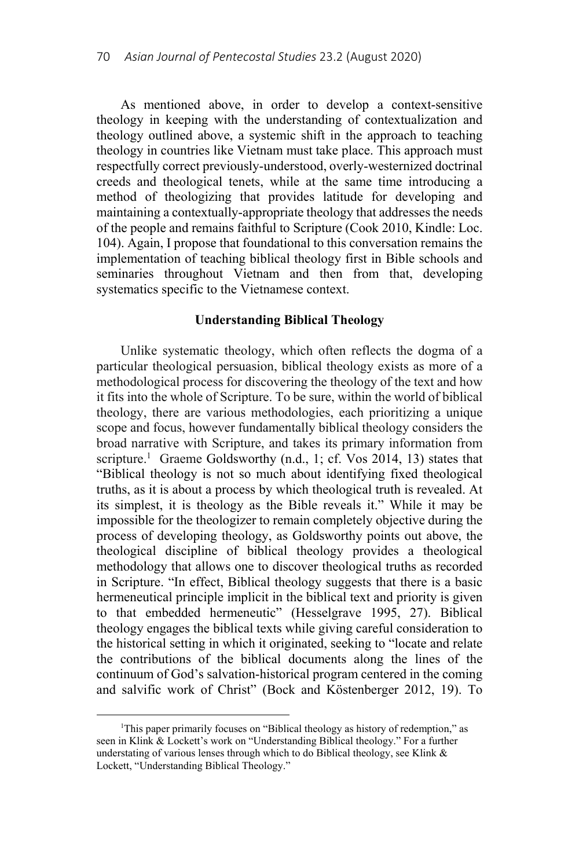As mentioned above, in order to develop a context-sensitive theology in keeping with the understanding of contextualization and theology outlined above, a systemic shift in the approach to teaching theology in countries like Vietnam must take place. This approach must respectfully correct previously-understood, overly-westernized doctrinal creeds and theological tenets, while at the same time introducing a method of theologizing that provides latitude for developing and maintaining a contextually-appropriate theology that addresses the needs of the people and remains faithful to Scripture (Cook 2010, Kindle: Loc. 104). Again, I propose that foundational to this conversation remains the implementation of teaching biblical theology first in Bible schools and seminaries throughout Vietnam and then from that, developing systematics specific to the Vietnamese context.

## **Understanding Biblical Theology**

Unlike systematic theology, which often reflects the dogma of a particular theological persuasion, biblical theology exists as more of a methodological process for discovering the theology of the text and how it fits into the whole of Scripture. To be sure, within the world of biblical theology, there are various methodologies, each prioritizing a unique scope and focus, however fundamentally biblical theology considers the broad narrative with Scripture, and takes its primary information from scripture.<sup>1</sup> Graeme Goldsworthy (n.d., 1; cf. Vos 2014, 13) states that "Biblical theology is not so much about identifying fixed theological truths, as it is about a process by which theological truth is revealed. At its simplest, it is theology as the Bible reveals it." While it may be impossible for the theologizer to remain completely objective during the process of developing theology, as Goldsworthy points out above, the theological discipline of biblical theology provides a theological methodology that allows one to discover theological truths as recorded in Scripture. "In effect, Biblical theology suggests that there is a basic hermeneutical principle implicit in the biblical text and priority is given to that embedded hermeneutic" (Hesselgrave 1995, 27). Biblical theology engages the biblical texts while giving careful consideration to the historical setting in which it originated, seeking to "locate and relate the contributions of the biblical documents along the lines of the continuum of God's salvation-historical program centered in the coming and salvific work of Christ" (Bock and Köstenberger 2012, 19). To

 $\overline{\phantom{a}}$ <sup>1</sup>This paper primarily focuses on "Biblical theology as history of redemption," as seen in Klink & Lockett's work on "Understanding Biblical theology." For a further understating of various lenses through which to do Biblical theology, see Klink & Lockett, "Understanding Biblical Theology."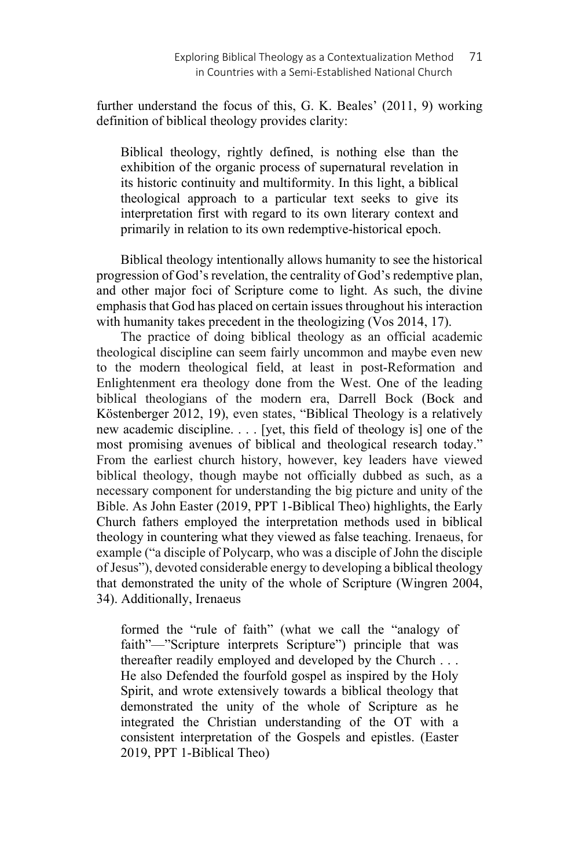further understand the focus of this, G. K. Beales' (2011, 9) working definition of biblical theology provides clarity:

Biblical theology, rightly defined, is nothing else than the exhibition of the organic process of supernatural revelation in its historic continuity and multiformity. In this light, a biblical theological approach to a particular text seeks to give its interpretation first with regard to its own literary context and primarily in relation to its own redemptive-historical epoch.

Biblical theology intentionally allows humanity to see the historical progression of God's revelation, the centrality of God's redemptive plan, and other major foci of Scripture come to light. As such, the divine emphasis that God has placed on certain issues throughout his interaction with humanity takes precedent in the theologizing (Vos 2014, 17).

The practice of doing biblical theology as an official academic theological discipline can seem fairly uncommon and maybe even new to the modern theological field, at least in post-Reformation and Enlightenment era theology done from the West. One of the leading biblical theologians of the modern era, Darrell Bock (Bock and Köstenberger 2012, 19), even states, "Biblical Theology is a relatively new academic discipline. . . . [yet, this field of theology is] one of the most promising avenues of biblical and theological research today." From the earliest church history, however, key leaders have viewed biblical theology, though maybe not officially dubbed as such, as a necessary component for understanding the big picture and unity of the Bible. As John Easter (2019, PPT 1-Biblical Theo) highlights, the Early Church fathers employed the interpretation methods used in biblical theology in countering what they viewed as false teaching. Irenaeus, for example ("a disciple of Polycarp, who was a disciple of John the disciple of Jesus"), devoted considerable energy to developing a biblical theology that demonstrated the unity of the whole of Scripture (Wingren 2004, 34). Additionally, Irenaeus

formed the "rule of faith" (what we call the "analogy of faith"—"Scripture interprets Scripture") principle that was thereafter readily employed and developed by the Church . . . He also Defended the fourfold gospel as inspired by the Holy Spirit, and wrote extensively towards a biblical theology that demonstrated the unity of the whole of Scripture as he integrated the Christian understanding of the OT with a consistent interpretation of the Gospels and epistles. (Easter 2019, PPT 1-Biblical Theo)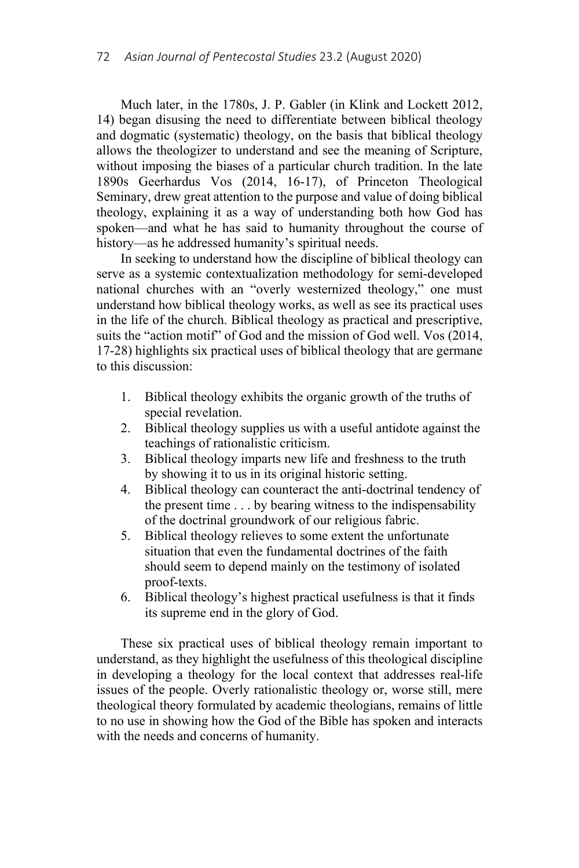Much later, in the 1780s, J. P. Gabler (in Klink and Lockett 2012, 14) began disusing the need to differentiate between biblical theology and dogmatic (systematic) theology, on the basis that biblical theology allows the theologizer to understand and see the meaning of Scripture, without imposing the biases of a particular church tradition. In the late 1890s Geerhardus Vos (2014, 16-17), of Princeton Theological Seminary, drew great attention to the purpose and value of doing biblical theology, explaining it as a way of understanding both how God has spoken—and what he has said to humanity throughout the course of history—as he addressed humanity's spiritual needs.

In seeking to understand how the discipline of biblical theology can serve as a systemic contextualization methodology for semi-developed national churches with an "overly westernized theology," one must understand how biblical theology works, as well as see its practical uses in the life of the church. Biblical theology as practical and prescriptive, suits the "action motif" of God and the mission of God well. Vos (2014, 17-28) highlights six practical uses of biblical theology that are germane to this discussion:

- 1. Biblical theology exhibits the organic growth of the truths of special revelation.
- 2. Biblical theology supplies us with a useful antidote against the teachings of rationalistic criticism.
- 3. Biblical theology imparts new life and freshness to the truth by showing it to us in its original historic setting.
- 4. Biblical theology can counteract the anti-doctrinal tendency of the present time . . . by bearing witness to the indispensability of the doctrinal groundwork of our religious fabric.
- 5. Biblical theology relieves to some extent the unfortunate situation that even the fundamental doctrines of the faith should seem to depend mainly on the testimony of isolated proof-texts.
- 6. Biblical theology's highest practical usefulness is that it finds its supreme end in the glory of God.

These six practical uses of biblical theology remain important to understand, as they highlight the usefulness of this theological discipline in developing a theology for the local context that addresses real-life issues of the people. Overly rationalistic theology or, worse still, mere theological theory formulated by academic theologians, remains of little to no use in showing how the God of the Bible has spoken and interacts with the needs and concerns of humanity.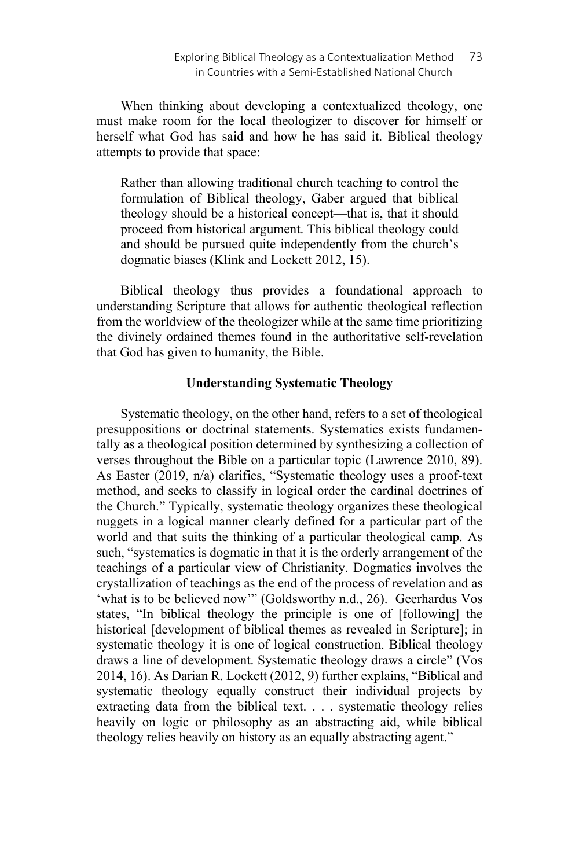When thinking about developing a contextualized theology, one must make room for the local theologizer to discover for himself or herself what God has said and how he has said it. Biblical theology attempts to provide that space:

Rather than allowing traditional church teaching to control the formulation of Biblical theology, Gaber argued that biblical theology should be a historical concept—that is, that it should proceed from historical argument. This biblical theology could and should be pursued quite independently from the church's dogmatic biases (Klink and Lockett 2012, 15).

Biblical theology thus provides a foundational approach to understanding Scripture that allows for authentic theological reflection from the worldview of the theologizer while at the same time prioritizing the divinely ordained themes found in the authoritative self-revelation that God has given to humanity, the Bible.

## **Understanding Systematic Theology**

Systematic theology, on the other hand, refers to a set of theological presuppositions or doctrinal statements. Systematics exists fundamentally as a theological position determined by synthesizing a collection of verses throughout the Bible on a particular topic (Lawrence 2010, 89). As Easter (2019, n/a) clarifies, "Systematic theology uses a proof-text method, and seeks to classify in logical order the cardinal doctrines of the Church." Typically, systematic theology organizes these theological nuggets in a logical manner clearly defined for a particular part of the world and that suits the thinking of a particular theological camp. As such, "systematics is dogmatic in that it is the orderly arrangement of the teachings of a particular view of Christianity. Dogmatics involves the crystallization of teachings as the end of the process of revelation and as 'what is to be believed now'" (Goldsworthy n.d., 26). Geerhardus Vos states, "In biblical theology the principle is one of [following] the historical [development of biblical themes as revealed in Scripture]; in systematic theology it is one of logical construction. Biblical theology draws a line of development. Systematic theology draws a circle" (Vos 2014, 16). As Darian R. Lockett (2012, 9) further explains, "Biblical and systematic theology equally construct their individual projects by extracting data from the biblical text. . . . systematic theology relies heavily on logic or philosophy as an abstracting aid, while biblical theology relies heavily on history as an equally abstracting agent."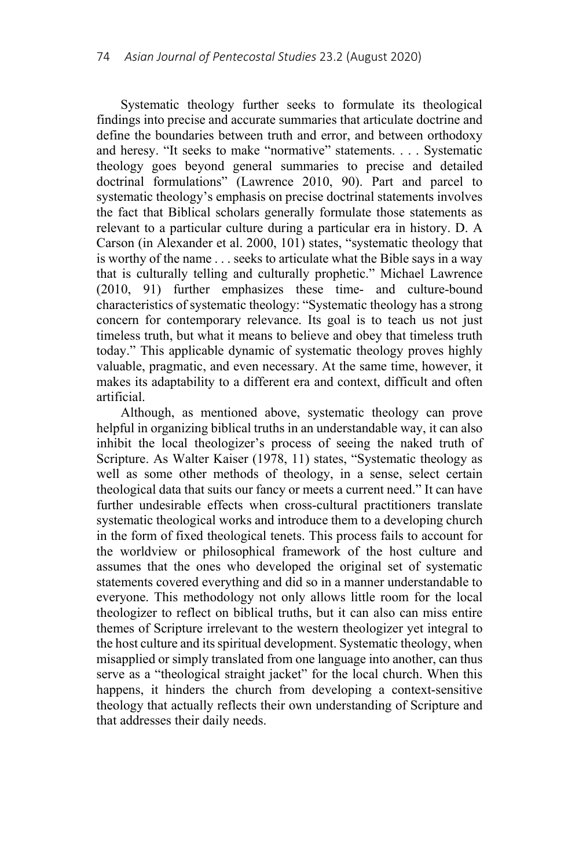Systematic theology further seeks to formulate its theological findings into precise and accurate summaries that articulate doctrine and define the boundaries between truth and error, and between orthodoxy and heresy. "It seeks to make "normative" statements. . . . Systematic theology goes beyond general summaries to precise and detailed doctrinal formulations" (Lawrence 2010, 90). Part and parcel to systematic theology's emphasis on precise doctrinal statements involves the fact that Biblical scholars generally formulate those statements as relevant to a particular culture during a particular era in history. D. A Carson (in Alexander et al. 2000, 101) states, "systematic theology that is worthy of the name . . . seeks to articulate what the Bible says in a way that is culturally telling and culturally prophetic." Michael Lawrence (2010, 91) further emphasizes these time- and culture-bound characteristics of systematic theology: "Systematic theology has a strong concern for contemporary relevance. Its goal is to teach us not just timeless truth, but what it means to believe and obey that timeless truth today." This applicable dynamic of systematic theology proves highly valuable, pragmatic, and even necessary. At the same time, however, it makes its adaptability to a different era and context, difficult and often artificial.

Although, as mentioned above, systematic theology can prove helpful in organizing biblical truths in an understandable way, it can also inhibit the local theologizer's process of seeing the naked truth of Scripture. As Walter Kaiser (1978, 11) states, "Systematic theology as well as some other methods of theology, in a sense, select certain theological data that suits our fancy or meets a current need." It can have further undesirable effects when cross-cultural practitioners translate systematic theological works and introduce them to a developing church in the form of fixed theological tenets. This process fails to account for the worldview or philosophical framework of the host culture and assumes that the ones who developed the original set of systematic statements covered everything and did so in a manner understandable to everyone. This methodology not only allows little room for the local theologizer to reflect on biblical truths, but it can also can miss entire themes of Scripture irrelevant to the western theologizer yet integral to the host culture and its spiritual development. Systematic theology, when misapplied or simply translated from one language into another, can thus serve as a "theological straight jacket" for the local church. When this happens, it hinders the church from developing a context-sensitive theology that actually reflects their own understanding of Scripture and that addresses their daily needs.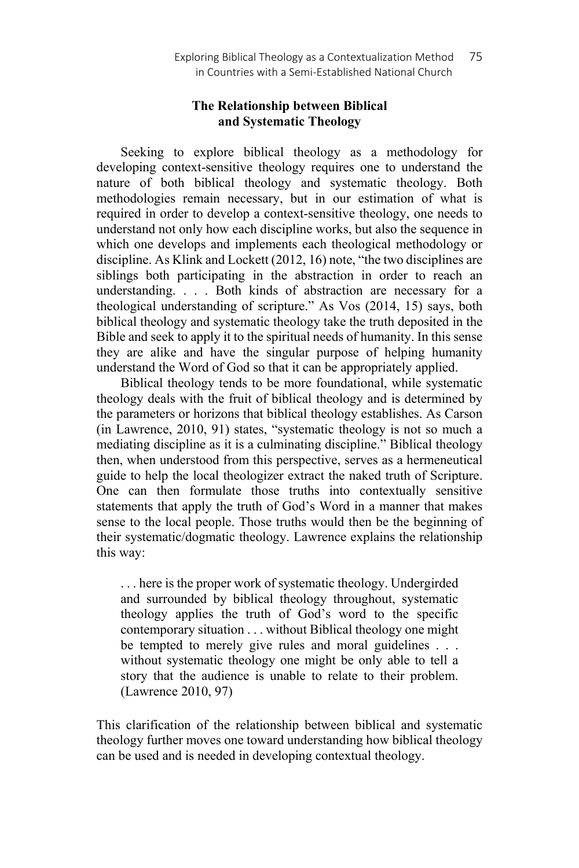# **The Relationship between Biblical and Systematic Theology**

Seeking to explore biblical theology as a methodology for developing context-sensitive theology requires one to understand the nature of both biblical theology and systematic theology. Both methodologies remain necessary, but in our estimation of what is required in order to develop a context-sensitive theology, one needs to understand not only how each discipline works, but also the sequence in which one develops and implements each theological methodology or discipline. As Klink and Lockett (2012, 16) note, "the two disciplines are siblings both participating in the abstraction in order to reach an understanding. . . . Both kinds of abstraction are necessary for a theological understanding of scripture." As Vos (2014, 15) says, both biblical theology and systematic theology take the truth deposited in the Bible and seek to apply it to the spiritual needs of humanity. In this sense they are alike and have the singular purpose of helping humanity understand the Word of God so that it can be appropriately applied.

Biblical theology tends to be more foundational, while systematic theology deals with the fruit of biblical theology and is determined by the parameters or horizons that biblical theology establishes. As Carson (in Lawrence, 2010, 91) states, "systematic theology is not so much a mediating discipline as it is a culminating discipline." Biblical theology then, when understood from this perspective, serves as a hermeneutical guide to help the local theologizer extract the naked truth of Scripture. One can then formulate those truths into contextually sensitive statements that apply the truth of God's Word in a manner that makes sense to the local people. Those truths would then be the beginning of their systematic/dogmatic theology. Lawrence explains the relationship this way:

. . . here is the proper work of systematic theology. Undergirded and surrounded by biblical theology throughout, systematic theology applies the truth of God's word to the specific contemporary situation . . . without Biblical theology one might be tempted to merely give rules and moral guidelines . . . without systematic theology one might be only able to tell a story that the audience is unable to relate to their problem. (Lawrence 2010, 97)

This clarification of the relationship between biblical and systematic theology further moves one toward understanding how biblical theology can be used and is needed in developing contextual theology.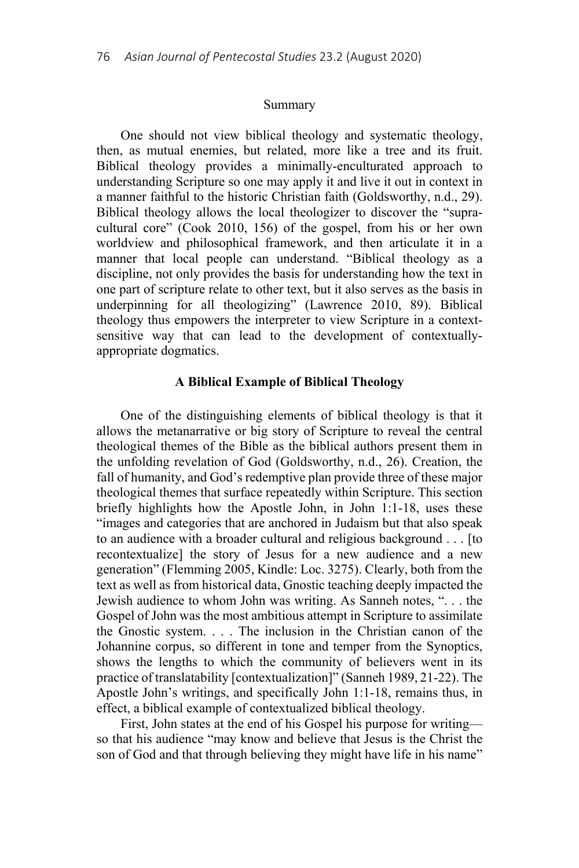#### Summary

One should not view biblical theology and systematic theology, then, as mutual enemies, but related, more like a tree and its fruit. Biblical theology provides a minimally-enculturated approach to understanding Scripture so one may apply it and live it out in context in a manner faithful to the historic Christian faith (Goldsworthy, n.d., 29). Biblical theology allows the local theologizer to discover the "supracultural core" (Cook 2010, 156) of the gospel, from his or her own worldview and philosophical framework, and then articulate it in a manner that local people can understand. "Biblical theology as a discipline, not only provides the basis for understanding how the text in one part of scripture relate to other text, but it also serves as the basis in underpinning for all theologizing" (Lawrence 2010, 89). Biblical theology thus empowers the interpreter to view Scripture in a contextsensitive way that can lead to the development of contextuallyappropriate dogmatics.

#### **A Biblical Example of Biblical Theology**

One of the distinguishing elements of biblical theology is that it allows the metanarrative or big story of Scripture to reveal the central theological themes of the Bible as the biblical authors present them in the unfolding revelation of God (Goldsworthy, n.d., 26). Creation, the fall of humanity, and God's redemptive plan provide three of these major theological themes that surface repeatedly within Scripture. This section briefly highlights how the Apostle John, in John 1:1-18, uses these "images and categories that are anchored in Judaism but that also speak to an audience with a broader cultural and religious background . . . [to recontextualize] the story of Jesus for a new audience and a new generation" (Flemming 2005, Kindle: Loc. 3275). Clearly, both from the text as well as from historical data, Gnostic teaching deeply impacted the Jewish audience to whom John was writing. As Sanneh notes, ". . . the Gospel of John was the most ambitious attempt in Scripture to assimilate the Gnostic system. . . . The inclusion in the Christian canon of the Johannine corpus, so different in tone and temper from the Synoptics, shows the lengths to which the community of believers went in its practice of translatability [contextualization]" (Sanneh 1989, 21-22). The Apostle John's writings, and specifically John 1:1-18, remains thus, in effect, a biblical example of contextualized biblical theology.

First, John states at the end of his Gospel his purpose for writing so that his audience "may know and believe that Jesus is the Christ the son of God and that through believing they might have life in his name"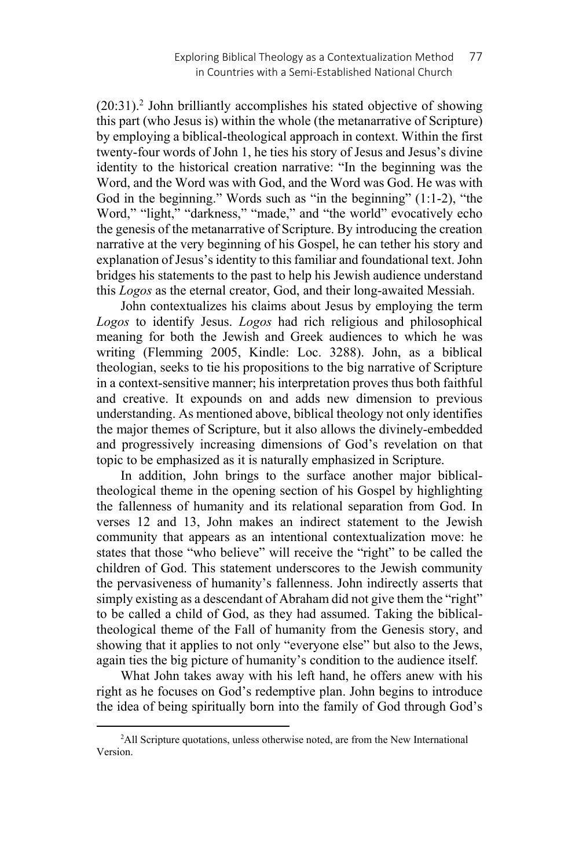(20:31).2 John brilliantly accomplishes his stated objective of showing this part (who Jesus is) within the whole (the metanarrative of Scripture) by employing a biblical-theological approach in context. Within the first twenty-four words of John 1, he ties his story of Jesus and Jesus's divine identity to the historical creation narrative: "In the beginning was the Word, and the Word was with God, and the Word was God. He was with God in the beginning." Words such as "in the beginning" (1:1-2), "the Word," "light," "darkness," "made," and "the world" evocatively echo the genesis of the metanarrative of Scripture. By introducing the creation narrative at the very beginning of his Gospel, he can tether his story and explanation of Jesus's identity to this familiar and foundational text. John bridges his statements to the past to help his Jewish audience understand this *Logos* as the eternal creator, God, and their long-awaited Messiah.

John contextualizes his claims about Jesus by employing the term *Logos* to identify Jesus. *Logos* had rich religious and philosophical meaning for both the Jewish and Greek audiences to which he was writing (Flemming 2005, Kindle: Loc. 3288). John, as a biblical theologian, seeks to tie his propositions to the big narrative of Scripture in a context-sensitive manner; his interpretation proves thus both faithful and creative. It expounds on and adds new dimension to previous understanding. As mentioned above, biblical theology not only identifies the major themes of Scripture, but it also allows the divinely-embedded and progressively increasing dimensions of God's revelation on that topic to be emphasized as it is naturally emphasized in Scripture.

In addition, John brings to the surface another major biblicaltheological theme in the opening section of his Gospel by highlighting the fallenness of humanity and its relational separation from God. In verses 12 and 13, John makes an indirect statement to the Jewish community that appears as an intentional contextualization move: he states that those "who believe" will receive the "right" to be called the children of God. This statement underscores to the Jewish community the pervasiveness of humanity's fallenness. John indirectly asserts that simply existing as a descendant of Abraham did not give them the "right" to be called a child of God, as they had assumed. Taking the biblicaltheological theme of the Fall of humanity from the Genesis story, and showing that it applies to not only "everyone else" but also to the Jews, again ties the big picture of humanity's condition to the audience itself.

What John takes away with his left hand, he offers anew with his right as he focuses on God's redemptive plan. John begins to introduce the idea of being spiritually born into the family of God through God's

 $\overline{a}$ <sup>2</sup>All Scripture quotations, unless otherwise noted, are from the New International Version.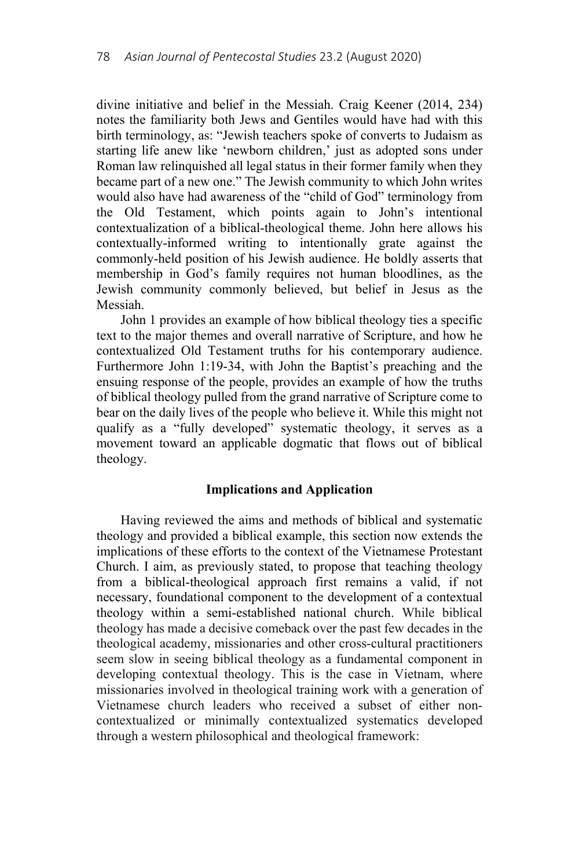divine initiative and belief in the Messiah. Craig Keener (2014, 234) notes the familiarity both Jews and Gentiles would have had with this birth terminology, as: "Jewish teachers spoke of converts to Judaism as starting life anew like 'newborn children,' just as adopted sons under Roman law relinquished all legal status in their former family when they became part of a new one." The Jewish community to which John writes would also have had awareness of the "child of God" terminology from the Old Testament, which points again to John's intentional contextualization of a biblical-theological theme. John here allows his contextually-informed writing to intentionally grate against the commonly-held position of his Jewish audience. He boldly asserts that membership in God's family requires not human bloodlines, as the Jewish community commonly believed, but belief in Jesus as the Messiah.

John 1 provides an example of how biblical theology ties a specific text to the major themes and overall narrative of Scripture, and how he contextualized Old Testament truths for his contemporary audience. Furthermore John 1:19-34, with John the Baptist's preaching and the ensuing response of the people, provides an example of how the truths of biblical theology pulled from the grand narrative of Scripture come to bear on the daily lives of the people who believe it. While this might not qualify as a "fully developed" systematic theology, it serves as a movement toward an applicable dogmatic that flows out of biblical theology.

### **Implications and Application**

Having reviewed the aims and methods of biblical and systematic theology and provided a biblical example, this section now extends the implications of these efforts to the context of the Vietnamese Protestant Church. I aim, as previously stated, to propose that teaching theology from a biblical-theological approach first remains a valid, if not necessary, foundational component to the development of a contextual theology within a semi-established national church. While biblical theology has made a decisive comeback over the past few decades in the theological academy, missionaries and other cross-cultural practitioners seem slow in seeing biblical theology as a fundamental component in developing contextual theology. This is the case in Vietnam, where missionaries involved in theological training work with a generation of Vietnamese church leaders who received a subset of either noncontextualized or minimally contextualized systematics developed through a western philosophical and theological framework: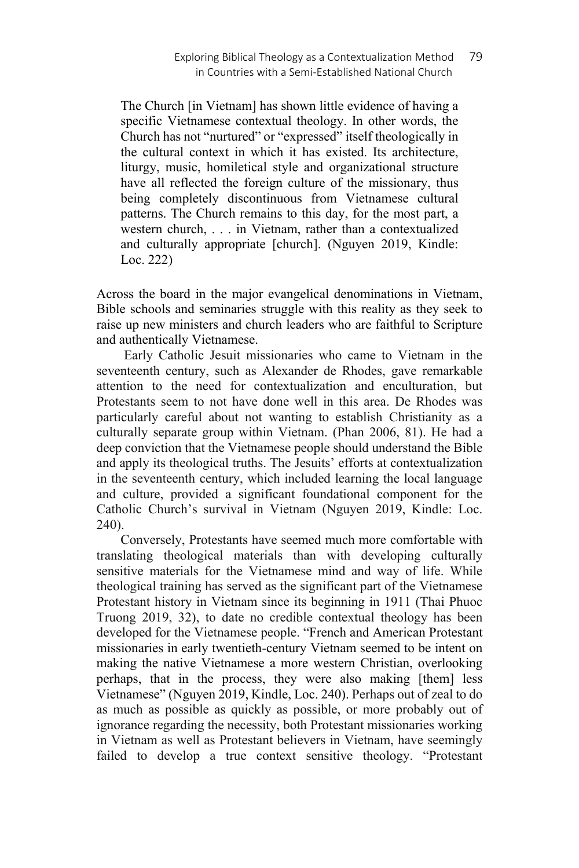The Church [in Vietnam] has shown little evidence of having a specific Vietnamese contextual theology. In other words, the Church has not "nurtured" or "expressed" itself theologically in the cultural context in which it has existed. Its architecture, liturgy, music, homiletical style and organizational structure have all reflected the foreign culture of the missionary, thus being completely discontinuous from Vietnamese cultural patterns. The Church remains to this day, for the most part, a western church, . . . in Vietnam, rather than a contextualized and culturally appropriate [church]. (Nguyen 2019, Kindle: Loc. 222)

Across the board in the major evangelical denominations in Vietnam, Bible schools and seminaries struggle with this reality as they seek to raise up new ministers and church leaders who are faithful to Scripture and authentically Vietnamese.

 Early Catholic Jesuit missionaries who came to Vietnam in the seventeenth century, such as Alexander de Rhodes, gave remarkable attention to the need for contextualization and enculturation, but Protestants seem to not have done well in this area. De Rhodes was particularly careful about not wanting to establish Christianity as a culturally separate group within Vietnam. (Phan 2006, 81). He had a deep conviction that the Vietnamese people should understand the Bible and apply its theological truths. The Jesuits' efforts at contextualization in the seventeenth century, which included learning the local language and culture, provided a significant foundational component for the Catholic Church's survival in Vietnam (Nguyen 2019, Kindle: Loc. 240).

Conversely, Protestants have seemed much more comfortable with translating theological materials than with developing culturally sensitive materials for the Vietnamese mind and way of life. While theological training has served as the significant part of the Vietnamese Protestant history in Vietnam since its beginning in 1911 (Thai Phuoc Truong 2019, 32), to date no credible contextual theology has been developed for the Vietnamese people. "French and American Protestant missionaries in early twentieth-century Vietnam seemed to be intent on making the native Vietnamese a more western Christian, overlooking perhaps, that in the process, they were also making [them] less Vietnamese" (Nguyen 2019, Kindle, Loc. 240). Perhaps out of zeal to do as much as possible as quickly as possible, or more probably out of ignorance regarding the necessity, both Protestant missionaries working in Vietnam as well as Protestant believers in Vietnam, have seemingly failed to develop a true context sensitive theology. "Protestant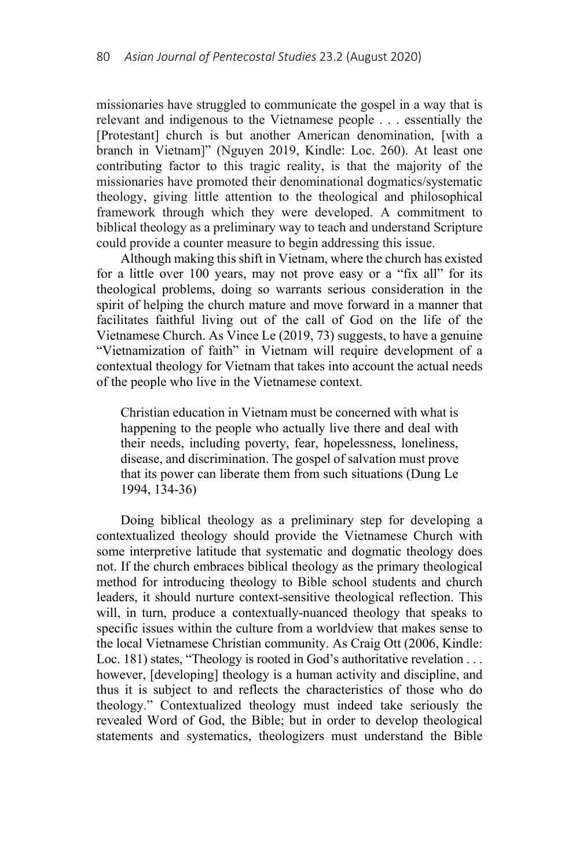missionaries have struggled to communicate the gospel in a way that is relevant and indigenous to the Vietnamese people . . . essentially the [Protestant] church is but another American denomination, [with a branch in Vietnam]" (Nguyen 2019, Kindle: Loc. 260). At least one contributing factor to this tragic reality, is that the majority of the missionaries have promoted their denominational dogmatics/systematic theology, giving little attention to the theological and philosophical framework through which they were developed. A commitment to biblical theology as a preliminary way to teach and understand Scripture could provide a counter measure to begin addressing this issue.

Although making this shift in Vietnam, where the church has existed for a little over 100 years, may not prove easy or a "fix all" for its theological problems, doing so warrants serious consideration in the spirit of helping the church mature and move forward in a manner that facilitates faithful living out of the call of God on the life of the Vietnamese Church. As Vince Le (2019, 73) suggests, to have a genuine "Vietnamization of faith" in Vietnam will require development of a contextual theology for Vietnam that takes into account the actual needs of the people who live in the Vietnamese context.

Christian education in Vietnam must be concerned with what is happening to the people who actually live there and deal with their needs, including poverty, fear, hopelessness, loneliness, disease, and discrimination. The gospel of salvation must prove that its power can liberate them from such situations (Dung Le 1994, 134-36)

Doing biblical theology as a preliminary step for developing a contextualized theology should provide the Vietnamese Church with some interpretive latitude that systematic and dogmatic theology does not. If the church embraces biblical theology as the primary theological method for introducing theology to Bible school students and church leaders, it should nurture context-sensitive theological reflection. This will, in turn, produce a contextually-nuanced theology that speaks to specific issues within the culture from a worldview that makes sense to the local Vietnamese Christian community. As Craig Ott (2006, Kindle: Loc. 181) states, "Theology is rooted in God's authoritative revelation . . . however, [developing] theology is a human activity and discipline, and thus it is subject to and reflects the characteristics of those who do theology." Contextualized theology must indeed take seriously the revealed Word of God, the Bible; but in order to develop theological statements and systematics, theologizers must understand the Bible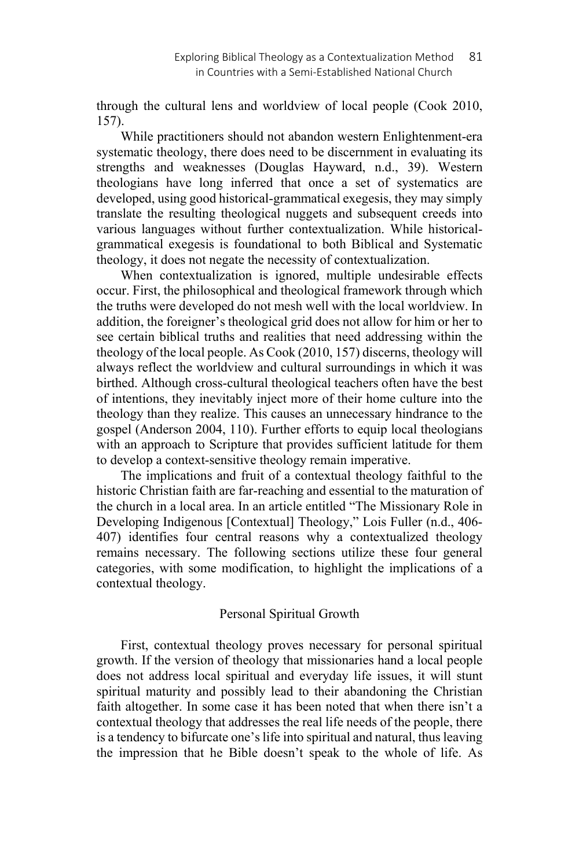through the cultural lens and worldview of local people (Cook 2010, 157).

While practitioners should not abandon western Enlightenment-era systematic theology, there does need to be discernment in evaluating its strengths and weaknesses (Douglas Hayward, n.d., 39). Western theologians have long inferred that once a set of systematics are developed, using good historical-grammatical exegesis, they may simply translate the resulting theological nuggets and subsequent creeds into various languages without further contextualization. While historicalgrammatical exegesis is foundational to both Biblical and Systematic theology, it does not negate the necessity of contextualization.

When contextualization is ignored, multiple undesirable effects occur. First, the philosophical and theological framework through which the truths were developed do not mesh well with the local worldview. In addition, the foreigner's theological grid does not allow for him or her to see certain biblical truths and realities that need addressing within the theology of the local people. As Cook (2010, 157) discerns, theology will always reflect the worldview and cultural surroundings in which it was birthed. Although cross-cultural theological teachers often have the best of intentions, they inevitably inject more of their home culture into the theology than they realize. This causes an unnecessary hindrance to the gospel (Anderson 2004, 110). Further efforts to equip local theologians with an approach to Scripture that provides sufficient latitude for them to develop a context-sensitive theology remain imperative.

The implications and fruit of a contextual theology faithful to the historic Christian faith are far-reaching and essential to the maturation of the church in a local area. In an article entitled "The Missionary Role in Developing Indigenous [Contextual] Theology," Lois Fuller (n.d., 406- 407) identifies four central reasons why a contextualized theology remains necessary. The following sections utilize these four general categories, with some modification, to highlight the implications of a contextual theology.

# Personal Spiritual Growth

First, contextual theology proves necessary for personal spiritual growth. If the version of theology that missionaries hand a local people does not address local spiritual and everyday life issues, it will stunt spiritual maturity and possibly lead to their abandoning the Christian faith altogether. In some case it has been noted that when there isn't a contextual theology that addresses the real life needs of the people, there is a tendency to bifurcate one's life into spiritual and natural, thus leaving the impression that he Bible doesn't speak to the whole of life. As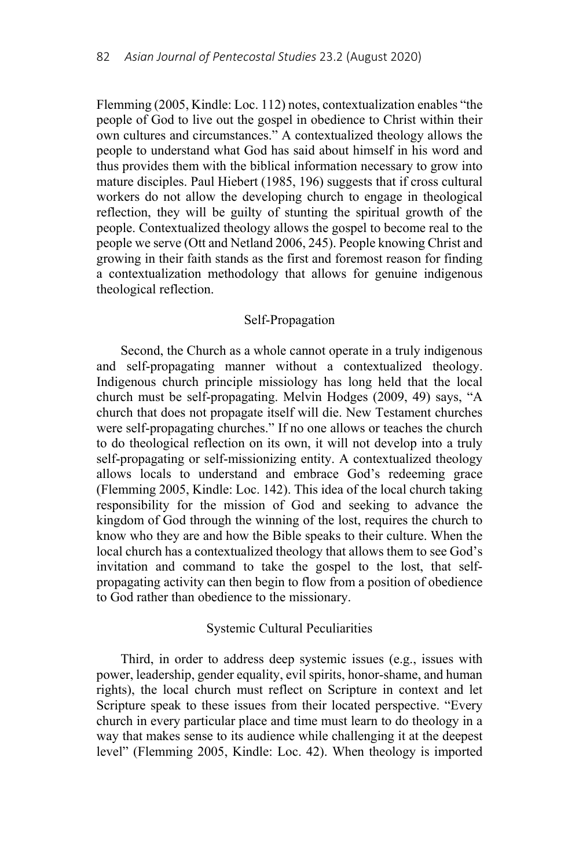Flemming (2005, Kindle: Loc. 112) notes, contextualization enables "the people of God to live out the gospel in obedience to Christ within their own cultures and circumstances." A contextualized theology allows the people to understand what God has said about himself in his word and thus provides them with the biblical information necessary to grow into mature disciples. Paul Hiebert (1985, 196) suggests that if cross cultural workers do not allow the developing church to engage in theological reflection, they will be guilty of stunting the spiritual growth of the people. Contextualized theology allows the gospel to become real to the people we serve (Ott and Netland 2006, 245). People knowing Christ and growing in their faith stands as the first and foremost reason for finding a contextualization methodology that allows for genuine indigenous theological reflection.

### Self-Propagation

Second, the Church as a whole cannot operate in a truly indigenous and self-propagating manner without a contextualized theology. Indigenous church principle missiology has long held that the local church must be self-propagating. Melvin Hodges (2009, 49) says, "A church that does not propagate itself will die. New Testament churches were self-propagating churches." If no one allows or teaches the church to do theological reflection on its own, it will not develop into a truly self-propagating or self-missionizing entity. A contextualized theology allows locals to understand and embrace God's redeeming grace (Flemming 2005, Kindle: Loc. 142). This idea of the local church taking responsibility for the mission of God and seeking to advance the kingdom of God through the winning of the lost, requires the church to know who they are and how the Bible speaks to their culture. When the local church has a contextualized theology that allows them to see God's invitation and command to take the gospel to the lost, that selfpropagating activity can then begin to flow from a position of obedience to God rather than obedience to the missionary.

## Systemic Cultural Peculiarities

Third, in order to address deep systemic issues (e.g., issues with power, leadership, gender equality, evil spirits, honor-shame, and human rights), the local church must reflect on Scripture in context and let Scripture speak to these issues from their located perspective. "Every church in every particular place and time must learn to do theology in a way that makes sense to its audience while challenging it at the deepest level" (Flemming 2005, Kindle: Loc. 42). When theology is imported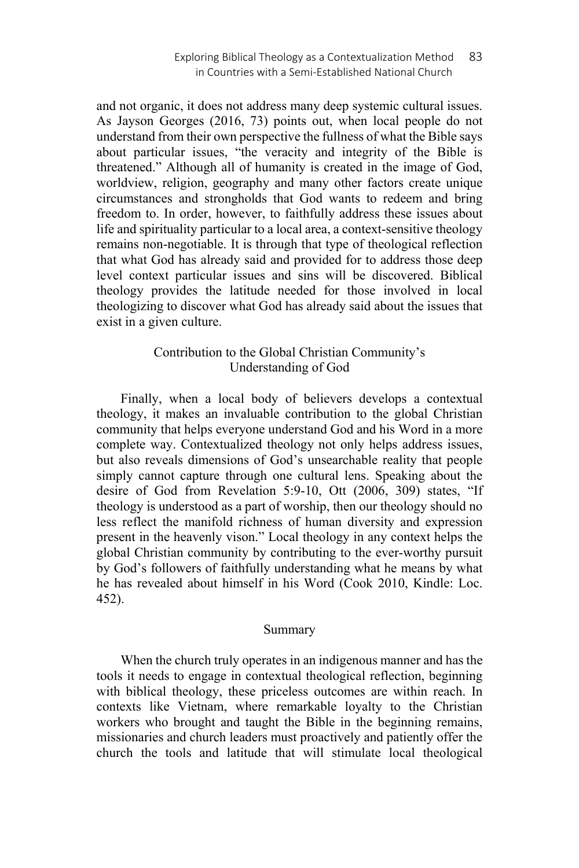and not organic, it does not address many deep systemic cultural issues. As Jayson Georges (2016, 73) points out, when local people do not understand from their own perspective the fullness of what the Bible says about particular issues, "the veracity and integrity of the Bible is threatened." Although all of humanity is created in the image of God, worldview, religion, geography and many other factors create unique circumstances and strongholds that God wants to redeem and bring freedom to. In order, however, to faithfully address these issues about life and spirituality particular to a local area, a context-sensitive theology remains non-negotiable. It is through that type of theological reflection that what God has already said and provided for to address those deep level context particular issues and sins will be discovered. Biblical theology provides the latitude needed for those involved in local theologizing to discover what God has already said about the issues that exist in a given culture.

# Contribution to the Global Christian Community's Understanding of God

Finally, when a local body of believers develops a contextual theology, it makes an invaluable contribution to the global Christian community that helps everyone understand God and his Word in a more complete way. Contextualized theology not only helps address issues, but also reveals dimensions of God's unsearchable reality that people simply cannot capture through one cultural lens. Speaking about the desire of God from Revelation 5:9-10, Ott (2006, 309) states, "If theology is understood as a part of worship, then our theology should no less reflect the manifold richness of human diversity and expression present in the heavenly vison." Local theology in any context helps the global Christian community by contributing to the ever-worthy pursuit by God's followers of faithfully understanding what he means by what he has revealed about himself in his Word (Cook 2010, Kindle: Loc. 452).

### Summary

When the church truly operates in an indigenous manner and has the tools it needs to engage in contextual theological reflection, beginning with biblical theology, these priceless outcomes are within reach. In contexts like Vietnam, where remarkable loyalty to the Christian workers who brought and taught the Bible in the beginning remains, missionaries and church leaders must proactively and patiently offer the church the tools and latitude that will stimulate local theological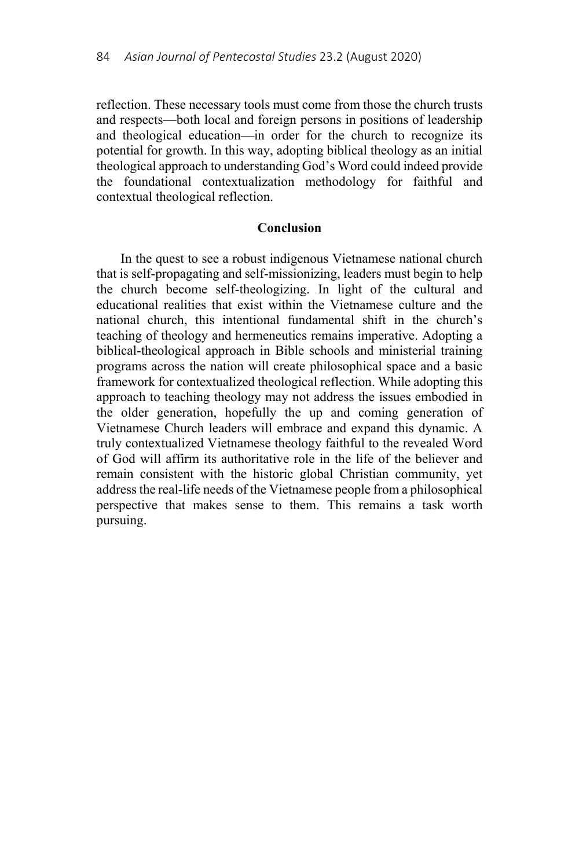reflection. These necessary tools must come from those the church trusts and respects—both local and foreign persons in positions of leadership and theological education—in order for the church to recognize its potential for growth. In this way, adopting biblical theology as an initial theological approach to understanding God's Word could indeed provide the foundational contextualization methodology for faithful and contextual theological reflection.

## **Conclusion**

In the quest to see a robust indigenous Vietnamese national church that is self-propagating and self-missionizing, leaders must begin to help the church become self-theologizing. In light of the cultural and educational realities that exist within the Vietnamese culture and the national church, this intentional fundamental shift in the church's teaching of theology and hermeneutics remains imperative. Adopting a biblical-theological approach in Bible schools and ministerial training programs across the nation will create philosophical space and a basic framework for contextualized theological reflection. While adopting this approach to teaching theology may not address the issues embodied in the older generation, hopefully the up and coming generation of Vietnamese Church leaders will embrace and expand this dynamic. A truly contextualized Vietnamese theology faithful to the revealed Word of God will affirm its authoritative role in the life of the believer and remain consistent with the historic global Christian community, yet address the real-life needs of the Vietnamese people from a philosophical perspective that makes sense to them. This remains a task worth pursuing.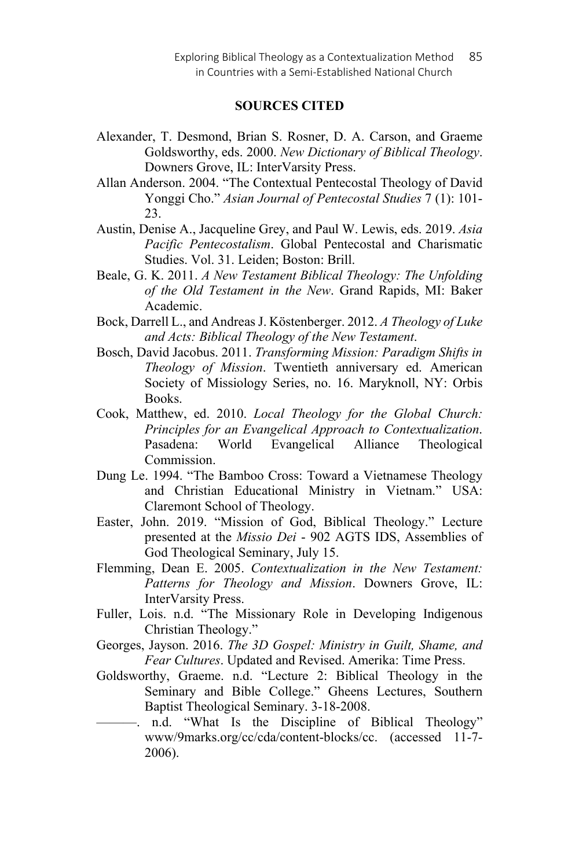## **SOURCES CITED**

- Alexander, T. Desmond, Brian S. Rosner, D. A. Carson, and Graeme Goldsworthy, eds. 2000. *New Dictionary of Biblical Theology*. Downers Grove, IL: InterVarsity Press.
- Allan Anderson. 2004. "The Contextual Pentecostal Theology of David Yonggi Cho." *Asian Journal of Pentecostal Studies* 7 (1): 101- 23.
- Austin, Denise A., Jacqueline Grey, and Paul W. Lewis, eds. 2019. *Asia Pacific Pentecostalism*. Global Pentecostal and Charismatic Studies. Vol. 31. Leiden; Boston: Brill.
- Beale, G. K. 2011. *A New Testament Biblical Theology: The Unfolding of the Old Testament in the New*. Grand Rapids, MI: Baker Academic.
- Bock, Darrell L., and Andreas J. Köstenberger. 2012. *A Theology of Luke and Acts: Biblical Theology of the New Testament*.
- Bosch, David Jacobus. 2011. *Transforming Mission: Paradigm Shifts in Theology of Mission*. Twentieth anniversary ed. American Society of Missiology Series, no. 16. Maryknoll, NY: Orbis Books.
- Cook, Matthew, ed. 2010. *Local Theology for the Global Church: Principles for an Evangelical Approach to Contextualization*. Pasadena: World Evangelical Alliance Theological Commission.
- Dung Le. 1994. "The Bamboo Cross: Toward a Vietnamese Theology and Christian Educational Ministry in Vietnam." USA: Claremont School of Theology.
- Easter, John. 2019. "Mission of God, Biblical Theology." Lecture presented at the *Missio Dei* - 902 AGTS IDS, Assemblies of God Theological Seminary, July 15.
- Flemming, Dean E. 2005. *Contextualization in the New Testament: Patterns for Theology and Mission*. Downers Grove, IL: InterVarsity Press.
- Fuller, Lois. n.d. "The Missionary Role in Developing Indigenous Christian Theology."
- Georges, Jayson. 2016. *The 3D Gospel: Ministry in Guilt, Shame, and Fear Cultures*. Updated and Revised. Amerika: Time Press.
- Goldsworthy, Graeme. n.d. "Lecture 2: Biblical Theology in the Seminary and Bible College." Gheens Lectures, Southern Baptist Theological Seminary. 3-18-2008.
- ———. n.d. "What Is the Discipline of Biblical Theology" www/9marks.org/cc/cda/content-blocks/cc. (accessed 11-7- 2006).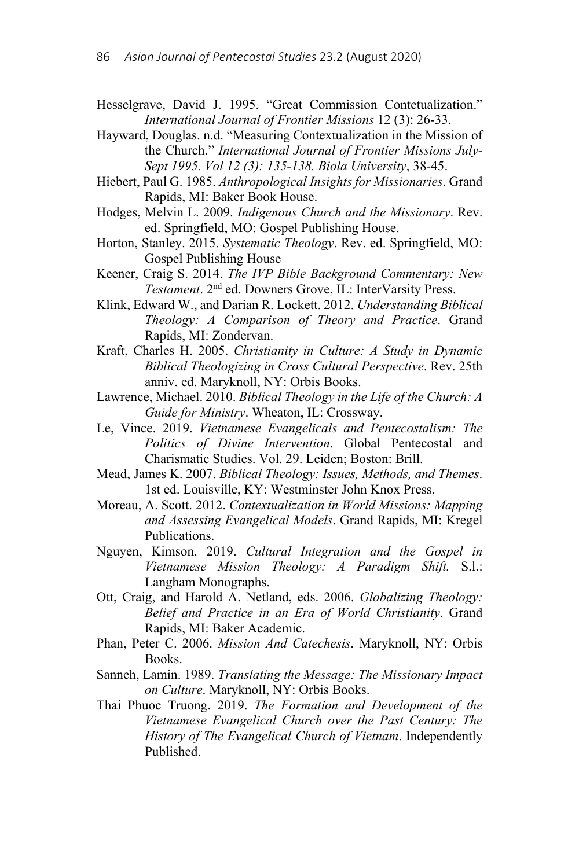- Hesselgrave, David J. 1995. "Great Commission Contetualization." *International Journal of Frontier Missions* 12 (3): 26-33.
- Hayward, Douglas. n.d. "Measuring Contextualization in the Mission of the Church." *International Journal of Frontier Missions July-Sept 1995. Vol 12 (3): 135-138. Biola University*, 38-45.
- Hiebert, Paul G. 1985. *Anthropological Insights for Missionaries*. Grand Rapids, MI: Baker Book House.
- Hodges, Melvin L. 2009. *Indigenous Church and the Missionary*. Rev. ed. Springfield, MO: Gospel Publishing House.
- Horton, Stanley. 2015. *Systematic Theology*. Rev. ed. Springfield, MO: Gospel Publishing House
- Keener, Craig S. 2014. *The IVP Bible Background Commentary: New Testament*. 2nd ed. Downers Grove, IL: InterVarsity Press.
- Klink, Edward W., and Darian R. Lockett. 2012. *Understanding Biblical Theology: A Comparison of Theory and Practice*. Grand Rapids, MI: Zondervan.
- Kraft, Charles H. 2005. *Christianity in Culture: A Study in Dynamic Biblical Theologizing in Cross Cultural Perspective*. Rev. 25th anniv. ed. Maryknoll, NY: Orbis Books.
- Lawrence, Michael. 2010. *Biblical Theology in the Life of the Church: A Guide for Ministry*. Wheaton, IL: Crossway.
- Le, Vince. 2019. *Vietnamese Evangelicals and Pentecostalism: The Politics of Divine Intervention*. Global Pentecostal and Charismatic Studies. Vol. 29. Leiden; Boston: Brill.
- Mead, James K. 2007. *Biblical Theology: Issues, Methods, and Themes*. 1st ed. Louisville, KY: Westminster John Knox Press.
- Moreau, A. Scott. 2012. *Contextualization in World Missions: Mapping and Assessing Evangelical Models*. Grand Rapids, MI: Kregel Publications.
- Nguyen, Kimson. 2019. *Cultural Integration and the Gospel in Vietnamese Mission Theology: A Paradigm Shift.* S.l.: Langham Monographs.
- Ott, Craig, and Harold A. Netland, eds. 2006. *Globalizing Theology: Belief and Practice in an Era of World Christianity*. Grand Rapids, MI: Baker Academic.
- Phan, Peter C. 2006. *Mission And Catechesis*. Maryknoll, NY: Orbis Books.
- Sanneh, Lamin. 1989. *Translating the Message: The Missionary Impact on Culture*. Maryknoll, NY: Orbis Books.
- Thai Phuoc Truong. 2019. *The Formation and Development of the Vietnamese Evangelical Church over the Past Century: The History of The Evangelical Church of Vietnam*. Independently Published.